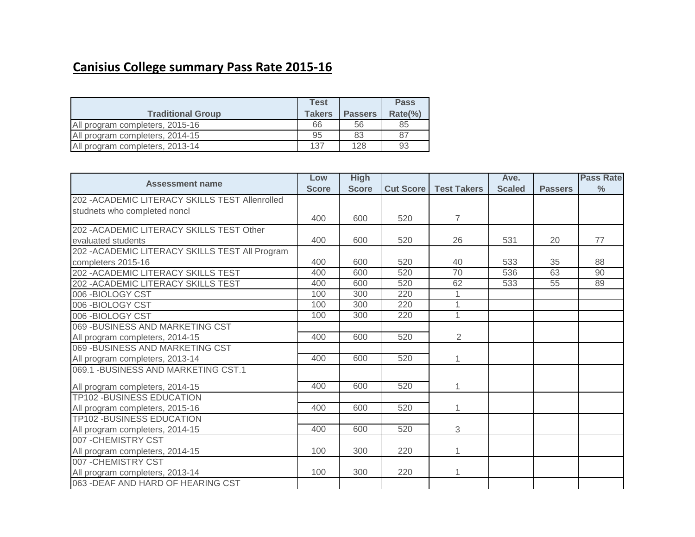## **Canisius College summary Pass Rate 2015-16**

|                                 | Test          |                | <b>Pass</b> |
|---------------------------------|---------------|----------------|-------------|
| <b>Traditional Group</b>        | <b>Takers</b> | <b>Passers</b> | Rate(%)     |
| All program completers, 2015-16 | 66            | 56             | 85          |
| All program completers, 2014-15 | 95            | 83             | 87          |
| All program completers, 2013-14 | 137           | 128            | 93          |

|                                                 | Low          | <b>High</b>  |                  |                    | Ave.          |                | <b>Pass Rate</b> |
|-------------------------------------------------|--------------|--------------|------------------|--------------------|---------------|----------------|------------------|
| <b>Assessment name</b>                          | <b>Score</b> | <b>Score</b> | <b>Cut Score</b> | <b>Test Takers</b> | <b>Scaled</b> | <b>Passers</b> | $\frac{0}{0}$    |
| 202 - ACADEMIC LITERACY SKILLS TEST Allenrolled |              |              |                  |                    |               |                |                  |
| studnets who completed noncl                    |              |              |                  |                    |               |                |                  |
|                                                 | 400          | 600          | 520              | $\overline{7}$     |               |                |                  |
| 202 - ACADEMIC LITERACY SKILLS TEST Other       |              |              |                  |                    |               |                |                  |
| evaluated students                              | 400          | 600          | 520              | 26                 | 531           | 20             | 77               |
| 202 - ACADEMIC LITERACY SKILLS TEST All Program |              |              |                  |                    |               |                |                  |
| completers 2015-16                              | 400          | 600          | 520              | 40                 | 533           | 35             | 88               |
| 202 - ACADEMIC LITERACY SKILLS TEST             | 400          | 600          | 520              | 70                 | 536           | 63             | 90               |
| 202 - ACADEMIC LITERACY SKILLS TEST             | 400          | 600          | 520              | 62                 | 533           | 55             | 89               |
| 006-BIOLOGY CST                                 | 100          | 300          | 220              | 1                  |               |                |                  |
| 006-BIOLOGY CST                                 | 100          | 300          | 220              | 1                  |               |                |                  |
| 006-BIOLOGY CST                                 | 100          | 300          | 220              | 1                  |               |                |                  |
| 069 - BUSINESS AND MARKETING CST                |              |              |                  |                    |               |                |                  |
| All program completers, 2014-15                 | 400          | 600          | 520              | $\overline{2}$     |               |                |                  |
| 069 - BUSINESS AND MARKETING CST                |              |              |                  |                    |               |                |                  |
| All program completers, 2013-14                 | 400          | 600          | 520              |                    |               |                |                  |
| 069.1 - BUSINESS AND MARKETING CST.1            |              |              |                  |                    |               |                |                  |
| All program completers, 2014-15                 | 400          | 600          | 520              |                    |               |                |                  |
| <b>TP102 -BUSINESS EDUCATION</b>                |              |              |                  |                    |               |                |                  |
| All program completers, 2015-16                 | 400          | 600          | 520              | 1                  |               |                |                  |
| <b>TP102 -BUSINESS EDUCATION</b>                |              |              |                  |                    |               |                |                  |
| All program completers, 2014-15                 | 400          | 600          | 520              | 3                  |               |                |                  |
| 007 - CHEMISTRY CST                             |              |              |                  |                    |               |                |                  |
| All program completers, 2014-15                 | 100          | 300          | 220              | 1                  |               |                |                  |
| 007 - CHEMISTRY CST                             |              |              |                  |                    |               |                |                  |
| All program completers, 2013-14                 | 100          | 300          | 220              | 1                  |               |                |                  |
| 063 - DEAF AND HARD OF HEARING CST              |              |              |                  |                    |               |                |                  |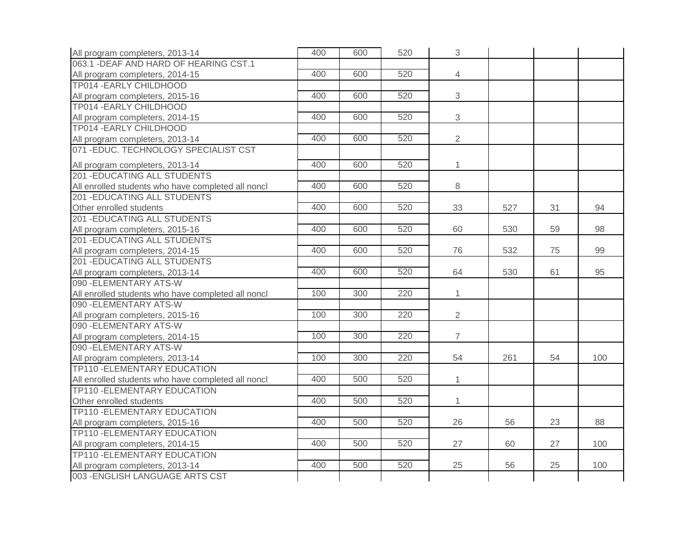| All program completers, 2013-14                    | 400 | 600 | 520 | 3              |     |    |     |
|----------------------------------------------------|-----|-----|-----|----------------|-----|----|-----|
| 063.1 - DEAF AND HARD OF HEARING CST.1             |     |     |     |                |     |    |     |
| All program completers, 2014-15                    | 400 | 600 | 520 | $\overline{4}$ |     |    |     |
| TP014 - EARLY CHILDHOOD                            |     |     |     |                |     |    |     |
| All program completers, 2015-16                    | 400 | 600 | 520 | 3              |     |    |     |
| TP014 - EARLY CHILDHOOD                            |     |     |     |                |     |    |     |
| All program completers, 2014-15                    | 400 | 600 | 520 | 3              |     |    |     |
| TP014 - EARLY CHILDHOOD                            |     |     |     |                |     |    |     |
| All program completers, 2013-14                    | 400 | 600 | 520 | $\overline{2}$ |     |    |     |
| 071-EDUC. TECHNOLOGY SPECIALIST CST                |     |     |     |                |     |    |     |
| All program completers, 2013-14                    | 400 | 600 | 520 | $\mathbf{1}$   |     |    |     |
| <b>201 - EDUCATING ALL STUDENTS</b>                |     |     |     |                |     |    |     |
| All enrolled students who have completed all noncl | 400 | 600 | 520 | 8              |     |    |     |
| <b>201 -EDUCATING ALL STUDENTS</b>                 |     |     |     |                |     |    |     |
| Other enrolled students                            | 400 | 600 | 520 | 33             | 527 | 31 | 94  |
| <b>201 -EDUCATING ALL STUDENTS</b>                 |     |     |     |                |     |    |     |
| All program completers, 2015-16                    | 400 | 600 | 520 | 60             | 530 | 59 | 98  |
| <b>201 -EDUCATING ALL STUDENTS</b>                 |     |     |     |                |     |    |     |
| All program completers, 2014-15                    | 400 | 600 | 520 | 76             | 532 | 75 | 99  |
| <b>201 -EDUCATING ALL STUDENTS</b>                 |     |     |     |                |     |    |     |
| All program completers, 2013-14                    | 400 | 600 | 520 | 64             | 530 | 61 | 95  |
| 090 - ELEMENTARY ATS-W                             |     |     |     |                |     |    |     |
| All enrolled students who have completed all noncl | 100 | 300 | 220 | $\mathbf{1}$   |     |    |     |
| 090 - ELEMENTARY ATS-W                             |     |     |     |                |     |    |     |
| All program completers, 2015-16                    | 100 | 300 | 220 | $\overline{2}$ |     |    |     |
| 090 - ELEMENTARY ATS-W                             |     |     |     |                |     |    |     |
| All program completers, 2014-15                    | 100 | 300 | 220 | $\overline{7}$ |     |    |     |
| 090 - ELEMENTARY ATS-W                             |     |     |     |                |     |    |     |
| All program completers, 2013-14                    | 100 | 300 | 220 | 54             | 261 | 54 | 100 |
| TP110 - ELEMENTARY EDUCATION                       |     |     |     |                |     |    |     |
| All enrolled students who have completed all noncl | 400 | 500 | 520 | $\mathbf{1}$   |     |    |     |
| TP110 - ELEMENTARY EDUCATION                       |     |     |     |                |     |    |     |
| Other enrolled students                            | 400 | 500 | 520 | 1              |     |    |     |
| TP110 - ELEMENTARY EDUCATION                       |     |     |     |                |     |    |     |
| All program completers, 2015-16                    | 400 | 500 | 520 | 26             | 56  | 23 | 88  |
| <b>TP110 - ELEMENTARY EDUCATION</b>                |     |     |     |                |     |    |     |
| All program completers, 2014-15                    | 400 | 500 | 520 | 27             | 60  | 27 | 100 |
| TP110 - ELEMENTARY EDUCATION                       |     |     |     |                |     |    |     |
| All program completers, 2013-14                    | 400 | 500 | 520 | 25             | 56  | 25 | 100 |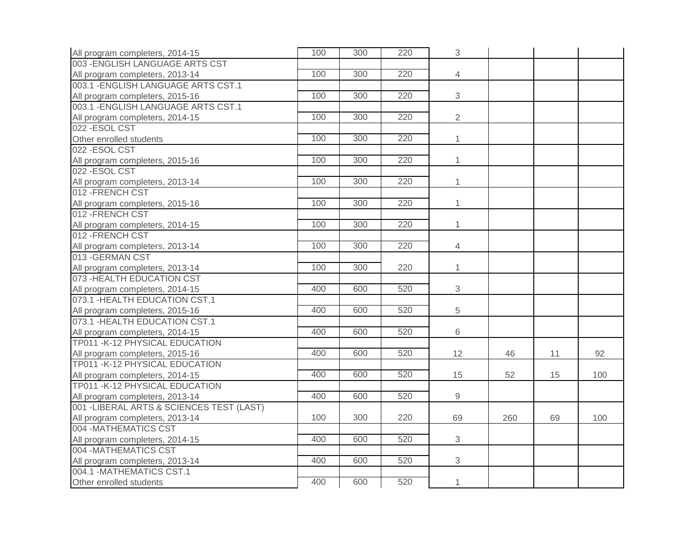| All program completers, 2014-15           | 100 | 300 | 220 | 3               |     |    |     |
|-------------------------------------------|-----|-----|-----|-----------------|-----|----|-----|
| 003 - ENGLISH LANGUAGE ARTS CST           |     |     |     |                 |     |    |     |
| All program completers, 2013-14           | 100 | 300 | 220 | $\overline{4}$  |     |    |     |
| 003.1 - ENGLISH LANGUAGE ARTS CST.1       |     |     |     |                 |     |    |     |
| All program completers, 2015-16           | 100 | 300 | 220 | 3               |     |    |     |
| 003.1 - ENGLISH LANGUAGE ARTS CST.1       |     |     |     |                 |     |    |     |
| All program completers, 2014-15           | 100 | 300 | 220 | $\overline{2}$  |     |    |     |
| 022 - ESOL CST                            |     |     |     |                 |     |    |     |
| Other enrolled students                   | 100 | 300 | 220 | $\mathbf{1}$    |     |    |     |
| 022-ESOL CST                              |     |     |     |                 |     |    |     |
| All program completers, 2015-16           | 100 | 300 | 220 | $\mathbf{1}$    |     |    |     |
| 022 - ESOL CST                            |     |     |     |                 |     |    |     |
| All program completers, 2013-14           | 100 | 300 | 220 | $\mathbf{1}$    |     |    |     |
| 012 - FRENCH CST                          |     |     |     |                 |     |    |     |
| All program completers, 2015-16           | 100 | 300 | 220 | $\mathbf{1}$    |     |    |     |
| 012 - FRENCH CST                          |     |     |     |                 |     |    |     |
| All program completers, 2014-15           | 100 | 300 | 220 | $\mathbf{1}$    |     |    |     |
| 012 - FRENCH CST                          |     |     |     |                 |     |    |     |
| All program completers, 2013-14           | 100 | 300 | 220 | $\overline{4}$  |     |    |     |
| 013 - GERMAN CST                          |     |     |     |                 |     |    |     |
| All program completers, 2013-14           | 100 | 300 | 220 | $\mathbf{1}$    |     |    |     |
| 073 - HEALTH EDUCATION CST                |     |     |     |                 |     |    |     |
| All program completers, 2014-15           | 400 | 600 | 520 | $\mathfrak{S}$  |     |    |     |
| 073.1 - HEALTH EDUCATION CST.1            |     |     |     |                 |     |    |     |
| All program completers, 2015-16           | 400 | 600 | 520 | 5               |     |    |     |
| 073.1 - HEALTH EDUCATION CST.1            |     |     |     |                 |     |    |     |
| All program completers, 2014-15           | 400 | 600 | 520 | 6               |     |    |     |
| TP011 - K-12 PHYSICAL EDUCATION           |     |     |     |                 |     |    |     |
| All program completers, 2015-16           | 400 | 600 | 520 | 12 <sup>°</sup> | 46  | 11 | 92  |
| TP011 - K-12 PHYSICAL EDUCATION           |     |     |     |                 |     |    |     |
| All program completers, 2014-15           | 400 | 600 | 520 | 15              | 52  | 15 | 100 |
| TP011 - K-12 PHYSICAL EDUCATION           |     |     |     |                 |     |    |     |
| All program completers, 2013-14           | 400 | 600 | 520 | $9$             |     |    |     |
| 001 - LIBERAL ARTS & SCIENCES TEST (LAST) |     |     |     |                 |     |    |     |
| All program completers, 2013-14           | 100 | 300 | 220 | 69              | 260 | 69 | 100 |
| 004 - MATHEMATICS CST                     |     |     |     |                 |     |    |     |
| All program completers, 2014-15           | 400 | 600 | 520 | 3               |     |    |     |
| 004 - MATHEMATICS CST                     |     |     |     |                 |     |    |     |
| All program completers, 2013-14           | 400 | 600 | 520 | 3               |     |    |     |
| 004.1 - MATHEMATICS CST.1                 |     |     |     |                 |     |    |     |
| Other enrolled students                   | 400 | 600 | 520 | $\mathbf{1}$    |     |    |     |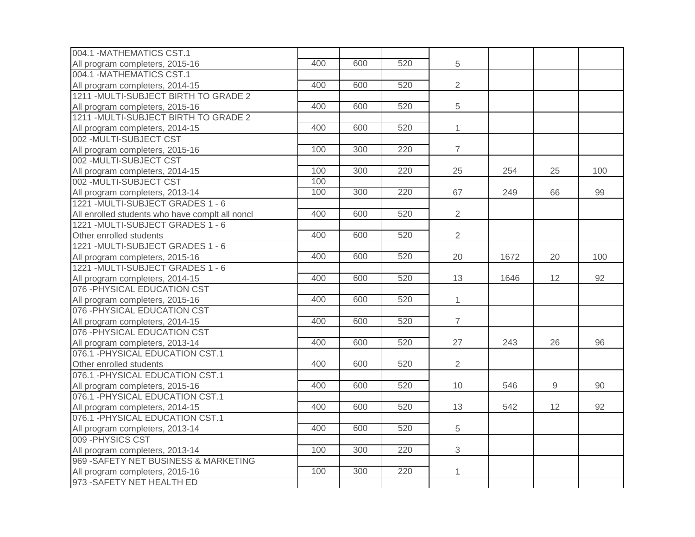| 004.1 - MATHEMATICS CST.1                                     |     |     |     |                |      |    |     |
|---------------------------------------------------------------|-----|-----|-----|----------------|------|----|-----|
| All program completers, 2015-16                               | 400 | 600 | 520 | 5              |      |    |     |
| 004.1 - MATHEMATICS CST.1                                     |     |     |     |                |      |    |     |
| All program completers, 2014-15                               | 400 | 600 | 520 | $\overline{2}$ |      |    |     |
| 1211 - MULTI-SUBJECT BIRTH TO GRADE 2                         |     |     |     |                |      |    |     |
| All program completers, 2015-16                               | 400 | 600 | 520 | 5              |      |    |     |
| 1211 - MULTI-SUBJECT BIRTH TO GRADE 2                         |     |     |     |                |      |    |     |
| All program completers, 2014-15                               | 400 | 600 | 520 | $\mathbf{1}$   |      |    |     |
| 002 - MULTI-SUBJECT CST                                       |     |     |     |                |      |    |     |
| All program completers, 2015-16                               | 100 | 300 | 220 | $\overline{7}$ |      |    |     |
| 002 - MULTI-SUBJECT CST                                       |     |     |     |                |      |    |     |
| All program completers, 2014-15                               | 100 | 300 | 220 | 25             | 254  | 25 | 100 |
| 002 - MULTI-SUBJECT CST                                       | 100 |     |     |                |      |    |     |
| All program completers, 2013-14                               | 100 | 300 | 220 | 67             | 249  | 66 | 99  |
| 1221 - MULTI-SUBJECT GRADES 1 - 6                             |     |     |     |                |      |    |     |
| All enrolled students who have complt all noncl               | 400 | 600 | 520 | $\overline{2}$ |      |    |     |
| 1221 - MULTI-SUBJECT GRADES 1 - 6                             |     |     |     |                |      |    |     |
| Other enrolled students                                       | 400 | 600 | 520 | $\overline{2}$ |      |    |     |
| 1221 - MULTI-SUBJECT GRADES 1 - 6                             |     |     |     |                |      |    |     |
| All program completers, 2015-16                               | 400 | 600 | 520 | 20             | 1672 | 20 | 100 |
| 1221 - MULTI-SUBJECT GRADES 1 - 6                             |     |     |     |                |      |    |     |
| All program completers, 2014-15                               | 400 | 600 | 520 | 13             | 1646 | 12 | 92  |
| 076 - PHYSICAL EDUCATION CST                                  |     |     |     |                |      |    |     |
| All program completers, 2015-16                               | 400 | 600 | 520 | $\mathbf{1}$   |      |    |     |
| 076 - PHYSICAL EDUCATION CST                                  |     |     |     |                |      |    |     |
| All program completers, 2014-15                               | 400 | 600 | 520 | $\overline{7}$ |      |    |     |
| 076 - PHYSICAL EDUCATION CST                                  |     |     |     |                |      |    |     |
| All program completers, 2013-14                               | 400 | 600 | 520 | 27             | 243  | 26 | 96  |
| 076.1 - PHYSICAL EDUCATION CST.1                              |     |     |     |                |      |    |     |
| Other enrolled students                                       | 400 | 600 | 520 | $\overline{2}$ |      |    |     |
| 076.1 - PHYSICAL EDUCATION CST.1                              |     |     |     |                |      |    |     |
| All program completers, 2015-16                               | 400 | 600 | 520 | 10             | 546  | 9  | 90  |
| 076.1 - PHYSICAL EDUCATION CST.1                              |     |     |     |                |      |    |     |
| All program completers, 2014-15                               | 400 | 600 | 520 | 13             | 542  | 12 | 92  |
| 076.1 - PHYSICAL EDUCATION CST.1                              |     |     |     |                |      |    |     |
| All program completers, 2013-14                               | 400 | 600 | 520 | 5              |      |    |     |
| 009 - PHYSICS CST                                             |     |     |     |                |      |    |     |
| All program completers, 2013-14                               | 100 | 300 | 220 | 3              |      |    |     |
| 969 - SAFETY NET BUSINESS & MARKETING                         |     |     |     |                |      |    |     |
|                                                               |     |     |     |                |      |    |     |
| All program completers, 2015-16<br>973 - SAFETY NET HEALTH ED | 100 | 300 | 220 | 1              |      |    |     |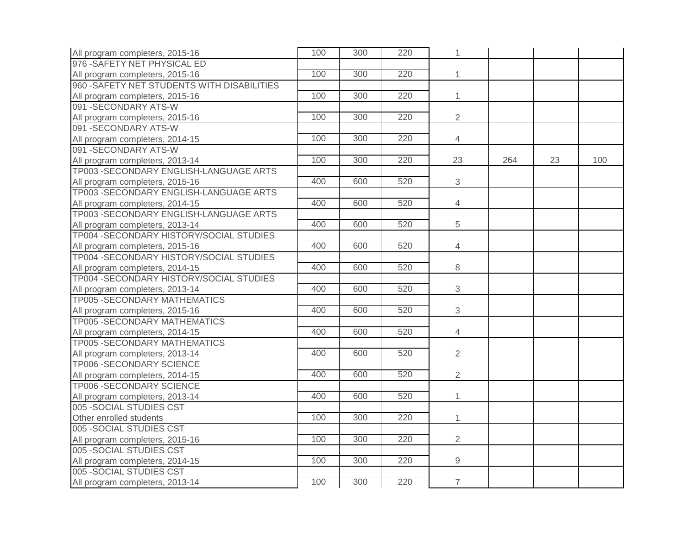| All program completers, 2015-16             | 100 | 300 | 220 | 1              |     |    |     |
|---------------------------------------------|-----|-----|-----|----------------|-----|----|-----|
| 976 - SAFETY NET PHYSICAL ED                |     |     |     |                |     |    |     |
| All program completers, 2015-16             | 100 | 300 | 220 | $\mathbf{1}$   |     |    |     |
| 960 - SAFETY NET STUDENTS WITH DISABILITIES |     |     |     |                |     |    |     |
| All program completers, 2015-16             | 100 | 300 | 220 | $\mathbf{1}$   |     |    |     |
| 091 - SECONDARY ATS-W                       |     |     |     |                |     |    |     |
| All program completers, 2015-16             | 100 | 300 | 220 | $\overline{2}$ |     |    |     |
| 091 - SECONDARY ATS-W                       |     |     |     |                |     |    |     |
| All program completers, 2014-15             | 100 | 300 | 220 | 4              |     |    |     |
| 091 - SECONDARY ATS-W                       |     |     |     |                |     |    |     |
| All program completers, 2013-14             | 100 | 300 | 220 | 23             | 264 | 23 | 100 |
| TP003 - SECONDARY ENGLISH-LANGUAGE ARTS     |     |     |     |                |     |    |     |
| All program completers, 2015-16             | 400 | 600 | 520 | 3              |     |    |     |
| TP003 - SECONDARY ENGLISH-LANGUAGE ARTS     |     |     |     |                |     |    |     |
| All program completers, 2014-15             | 400 | 600 | 520 | $\overline{4}$ |     |    |     |
| TP003 - SECONDARY ENGLISH-LANGUAGE ARTS     |     |     |     |                |     |    |     |
| All program completers, 2013-14             | 400 | 600 | 520 | 5              |     |    |     |
| TP004 - SECONDARY HISTORY/SOCIAL STUDIES    |     |     |     |                |     |    |     |
| All program completers, 2015-16             | 400 | 600 | 520 | $\overline{4}$ |     |    |     |
| TP004 - SECONDARY HISTORY/SOCIAL STUDIES    |     |     |     |                |     |    |     |
| All program completers, 2014-15             | 400 | 600 | 520 | 8              |     |    |     |
| TP004 - SECONDARY HISTORY/SOCIAL STUDIES    |     |     |     |                |     |    |     |
| All program completers, 2013-14             | 400 | 600 | 520 | $\mathfrak{S}$ |     |    |     |
| TP005 - SECONDARY MATHEMATICS               |     |     |     |                |     |    |     |
| All program completers, 2015-16             | 400 | 600 | 520 | $\mathbf{3}$   |     |    |     |
| TP005 - SECONDARY MATHEMATICS               |     |     |     |                |     |    |     |
| All program completers, 2014-15             | 400 | 600 | 520 | $\overline{4}$ |     |    |     |
| TP005 - SECONDARY MATHEMATICS               |     |     |     |                |     |    |     |
| All program completers, 2013-14             | 400 | 600 | 520 | $\overline{2}$ |     |    |     |
| TP006 - SECONDARY SCIENCE                   |     |     |     |                |     |    |     |
| All program completers, 2014-15             | 400 | 600 | 520 | $\overline{2}$ |     |    |     |
| TP006 - SECONDARY SCIENCE                   |     |     |     |                |     |    |     |
| All program completers, 2013-14             | 400 | 600 | 520 | $\mathbf{1}$   |     |    |     |
| 005 - SOCIAL STUDIES CST                    |     |     |     |                |     |    |     |
| Other enrolled students                     | 100 | 300 | 220 | 1              |     |    |     |
| 005 - SOCIAL STUDIES CST                    |     |     |     |                |     |    |     |
| All program completers, 2015-16             | 100 | 300 | 220 | $\overline{2}$ |     |    |     |
| 005 - SOCIAL STUDIES CST                    |     |     |     |                |     |    |     |
| All program completers, 2014-15             | 100 | 300 | 220 | $\overline{9}$ |     |    |     |
| 005 - SOCIAL STUDIES CST                    |     |     |     |                |     |    |     |
| All program completers, 2013-14             | 100 | 300 | 220 | $\overline{7}$ |     |    |     |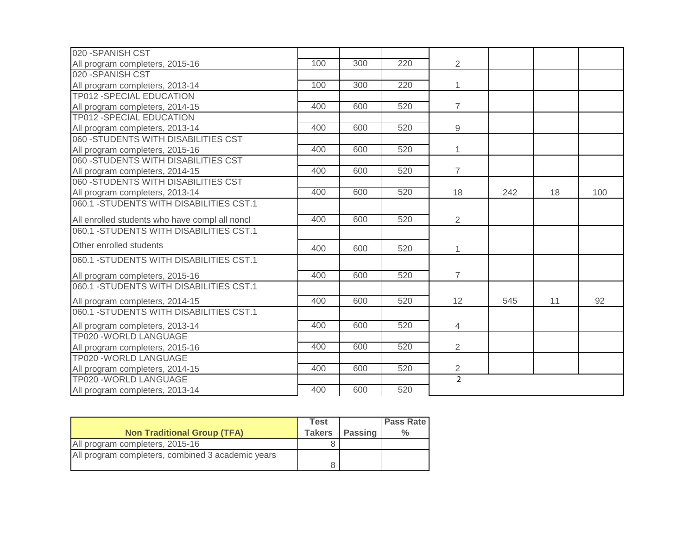| 020 - SPANISH CST                              |     |     |     |                |     |    |     |
|------------------------------------------------|-----|-----|-----|----------------|-----|----|-----|
| All program completers, 2015-16                | 100 | 300 | 220 | $\overline{2}$ |     |    |     |
| 020 - SPANISH CST                              |     |     |     |                |     |    |     |
| All program completers, 2013-14                | 100 | 300 | 220 | $\mathbf{1}$   |     |    |     |
| <b>TP012 -SPECIAL EDUCATION</b>                |     |     |     |                |     |    |     |
| All program completers, 2014-15                | 400 | 600 | 520 | $\overline{7}$ |     |    |     |
| <b>TP012 -SPECIAL EDUCATION</b>                |     |     |     |                |     |    |     |
| All program completers, 2013-14                | 400 | 600 | 520 | 9              |     |    |     |
| 060 - STUDENTS WITH DISABILITIES CST           |     |     |     |                |     |    |     |
| All program completers, 2015-16                | 400 | 600 | 520 | 1              |     |    |     |
| 060 - STUDENTS WITH DISABILITIES CST           |     |     |     |                |     |    |     |
| All program completers, 2014-15                | 400 | 600 | 520 | $\overline{7}$ |     |    |     |
| 060 - STUDENTS WITH DISABILITIES CST           |     |     |     |                |     |    |     |
| All program completers, 2013-14                | 400 | 600 | 520 | 18             | 242 | 18 | 100 |
| 060.1 - STUDENTS WITH DISABILITIES CST.1       |     |     |     |                |     |    |     |
| All enrolled students who have compl all noncl | 400 | 600 | 520 | $\overline{2}$ |     |    |     |
| 060.1 - STUDENTS WITH DISABILITIES CST.1       |     |     |     |                |     |    |     |
| Other enrolled students                        | 400 | 600 | 520 | 1              |     |    |     |
| 060.1 - STUDENTS WITH DISABILITIES CST.1       |     |     |     |                |     |    |     |
| All program completers, 2015-16                | 400 | 600 | 520 | $\overline{7}$ |     |    |     |
| 060.1 - STUDENTS WITH DISABILITIES CST.1       |     |     |     |                |     |    |     |
| All program completers, 2014-15                | 400 | 600 | 520 | 12             | 545 | 11 | 92  |
| 060.1 - STUDENTS WITH DISABILITIES CST.1       |     |     |     |                |     |    |     |
| All program completers, 2013-14                | 400 | 600 | 520 | $\overline{4}$ |     |    |     |
| TP020 - WORLD LANGUAGE                         |     |     |     |                |     |    |     |
| All program completers, 2015-16                | 400 | 600 | 520 | $\overline{2}$ |     |    |     |
| TP020 - WORLD LANGUAGE                         |     |     |     |                |     |    |     |
| All program completers, 2014-15                | 400 | 600 | 520 | $\overline{2}$ |     |    |     |
| TP020 - WORLD LANGUAGE                         |     |     |     | $\overline{2}$ |     |    |     |
| All program completers, 2013-14                | 400 | 600 | 520 |                |     |    |     |

|                                                   | Test          |                | <b>Pass Rate</b> |
|---------------------------------------------------|---------------|----------------|------------------|
| <b>Non Traditional Group (TFA)</b>                | <b>Takers</b> | <b>Passing</b> | ℅                |
| All program completers, 2015-16                   |               |                |                  |
| All program completers, combined 3 academic years |               |                |                  |
|                                                   |               |                |                  |